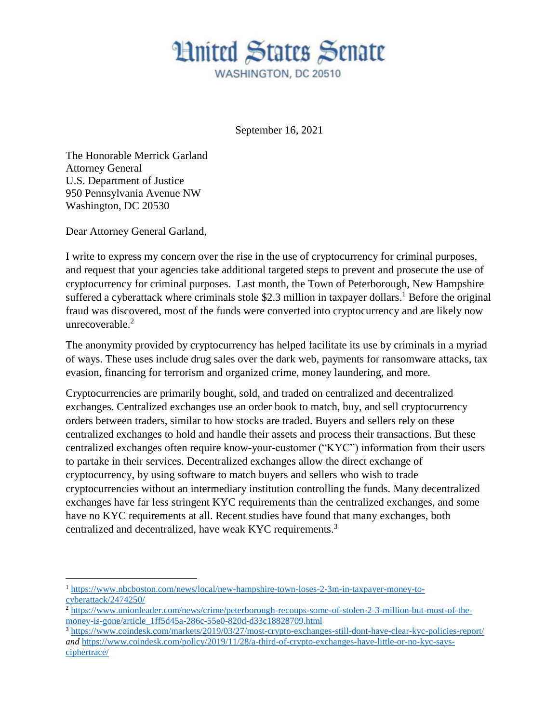

September 16, 2021

The Honorable Merrick Garland Attorney General U.S. Department of Justice 950 Pennsylvania Avenue NW Washington, DC 20530

Dear Attorney General Garland,

 $\overline{a}$ 

I write to express my concern over the rise in the use of cryptocurrency for criminal purposes, and request that your agencies take additional targeted steps to prevent and prosecute the use of cryptocurrency for criminal purposes. Last month, the Town of Peterborough, New Hampshire suffered a cyberattack where criminals stole \$2.3 million in taxpayer dollars.<sup>1</sup> Before the original fraud was discovered, most of the funds were converted into cryptocurrency and are likely now unrecoverable.<sup>2</sup>

The anonymity provided by cryptocurrency has helped facilitate its use by criminals in a myriad of ways. These uses include drug sales over the dark web, payments for ransomware attacks, tax evasion, financing for terrorism and organized crime, money laundering, and more.

Cryptocurrencies are primarily bought, sold, and traded on centralized and decentralized exchanges. Centralized exchanges use an order book to match, buy, and sell cryptocurrency orders between traders, similar to how stocks are traded. Buyers and sellers rely on these centralized exchanges to hold and handle their assets and process their transactions. But these centralized exchanges often require know-your-customer ("KYC") information from their users to partake in their services. Decentralized exchanges allow the direct exchange of cryptocurrency, by using software to match buyers and sellers who wish to trade cryptocurrencies without an intermediary institution controlling the funds. Many decentralized exchanges have far less stringent KYC requirements than the centralized exchanges, and some have no KYC requirements at all. Recent studies have found that many exchanges, both centralized and decentralized, have weak KYC requirements.<sup>3</sup>

<sup>1</sup> [https://www.nbcboston.com/news/local/new-hampshire-town-loses-2-3m-in-taxpayer-money-to](https://www.nbcboston.com/news/local/new-hampshire-town-loses-2-3m-in-taxpayer-money-to-cyberattack/2474250/)[cyberattack/2474250/](https://www.nbcboston.com/news/local/new-hampshire-town-loses-2-3m-in-taxpayer-money-to-cyberattack/2474250/)

<sup>2</sup> [https://www.unionleader.com/news/crime/peterborough-recoups-some-of-stolen-2-3-million-but-most-of-the](https://www.unionleader.com/news/crime/peterborough-recoups-some-of-stolen-2-3-million-but-most-of-the-money-is-gone/article_1ff5d45a-286c-55e0-820d-d33c18828709.html)[money-is-gone/article\\_1ff5d45a-286c-55e0-820d-d33c18828709.html](https://www.unionleader.com/news/crime/peterborough-recoups-some-of-stolen-2-3-million-but-most-of-the-money-is-gone/article_1ff5d45a-286c-55e0-820d-d33c18828709.html)

<sup>3</sup> <https://www.coindesk.com/markets/2019/03/27/most-crypto-exchanges-still-dont-have-clear-kyc-policies-report/> *and* [https://www.coindesk.com/policy/2019/11/28/a-third-of-crypto-exchanges-have-little-or-no-kyc-says](https://www.coindesk.com/policy/2019/11/28/a-third-of-crypto-exchanges-have-little-or-no-kyc-says-ciphertrace/)[ciphertrace/](https://www.coindesk.com/policy/2019/11/28/a-third-of-crypto-exchanges-have-little-or-no-kyc-says-ciphertrace/)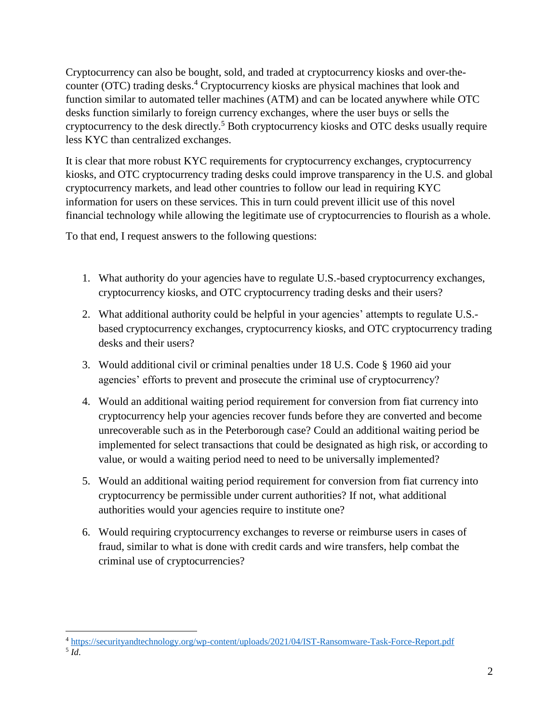Cryptocurrency can also be bought, sold, and traded at cryptocurrency kiosks and over-thecounter (OTC) trading desks. <sup>4</sup> Cryptocurrency kiosks are physical machines that look and function similar to automated teller machines (ATM) and can be located anywhere while OTC desks function similarly to foreign currency exchanges, where the user buys or sells the cryptocurrency to the desk directly.<sup>5</sup> Both cryptocurrency kiosks and OTC desks usually require less KYC than centralized exchanges.

It is clear that more robust KYC requirements for cryptocurrency exchanges, cryptocurrency kiosks, and OTC cryptocurrency trading desks could improve transparency in the U.S. and global cryptocurrency markets, and lead other countries to follow our lead in requiring KYC information for users on these services. This in turn could prevent illicit use of this novel financial technology while allowing the legitimate use of cryptocurrencies to flourish as a whole.

To that end, I request answers to the following questions:

- 1. What authority do your agencies have to regulate U.S.-based cryptocurrency exchanges, cryptocurrency kiosks, and OTC cryptocurrency trading desks and their users?
- 2. What additional authority could be helpful in your agencies' attempts to regulate U.S. based cryptocurrency exchanges, cryptocurrency kiosks, and OTC cryptocurrency trading desks and their users?
- 3. Would additional civil or criminal penalties under 18 U.S. Code § 1960 aid your agencies' efforts to prevent and prosecute the criminal use of cryptocurrency?
- 4. Would an additional waiting period requirement for conversion from fiat currency into cryptocurrency help your agencies recover funds before they are converted and become unrecoverable such as in the Peterborough case? Could an additional waiting period be implemented for select transactions that could be designated as high risk, or according to value, or would a waiting period need to need to be universally implemented?
- 5. Would an additional waiting period requirement for conversion from fiat currency into cryptocurrency be permissible under current authorities? If not, what additional authorities would your agencies require to institute one?
- 6. Would requiring cryptocurrency exchanges to reverse or reimburse users in cases of fraud, similar to what is done with credit cards and wire transfers, help combat the criminal use of cryptocurrencies?

 $\overline{a}$ <sup>4</sup> <https://securityandtechnology.org/wp-content/uploads/2021/04/IST-Ransomware-Task-Force-Report.pdf>

<sup>5</sup> *Id*.